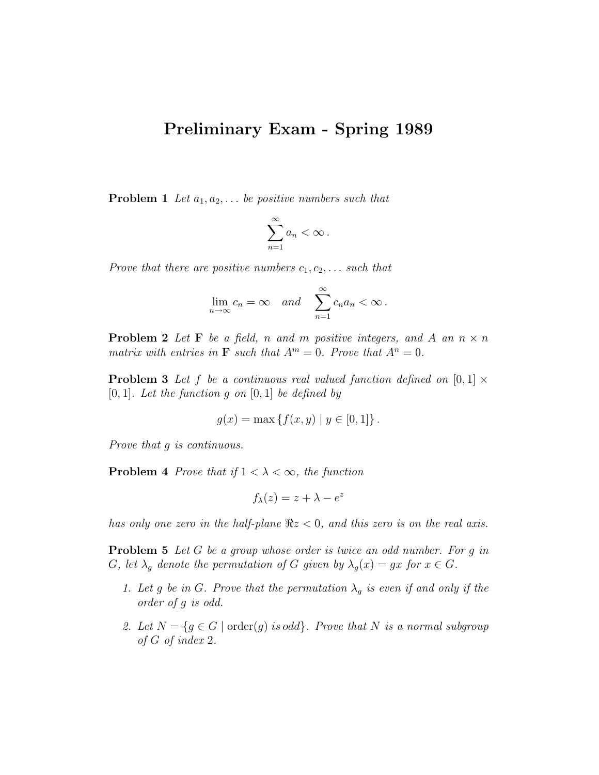## Preliminary Exam - Spring 1989

**Problem 1** Let  $a_1, a_2, \ldots$  be positive numbers such that

$$
\sum_{n=1}^{\infty} a_n < \infty.
$$

Prove that there are positive numbers  $c_1, c_2, \ldots$  such that

$$
\lim_{n \to \infty} c_n = \infty \quad and \quad \sum_{n=1}^{\infty} c_n a_n < \infty.
$$

**Problem 2** Let **F** be a field, n and m positive integers, and A an  $n \times n$ matrix with entries in **F** such that  $A^m = 0$ . Prove that  $A^n = 0$ .

**Problem 3** Let f be a continuous real valued function defined on  $[0, 1] \times$  $[0, 1]$ . Let the function g on  $[0, 1]$  be defined by

$$
g(x) = \max \{ f(x, y) \mid y \in [0, 1] \}.
$$

Prove that g is continuous.

**Problem 4** Prove that if  $1 < \lambda < \infty$ , the function

$$
f_{\lambda}(z) = z + \lambda - e^z
$$

has only one zero in the half-plane  $\Re z < 0$ , and this zero is on the real axis.

**Problem 5** Let G be a group whose order is twice an odd number. For g in G, let  $\lambda_g$  denote the permutation of G given by  $\lambda_g(x) = gx$  for  $x \in G$ .

- 1. Let g be in G. Prove that the permutation  $\lambda_g$  is even if and only if the order of g is odd.
- 2. Let  $N = \{g \in G \mid \text{order}(g) \text{ is odd}\}\$ . Prove that N is a normal subgroup of G of index 2.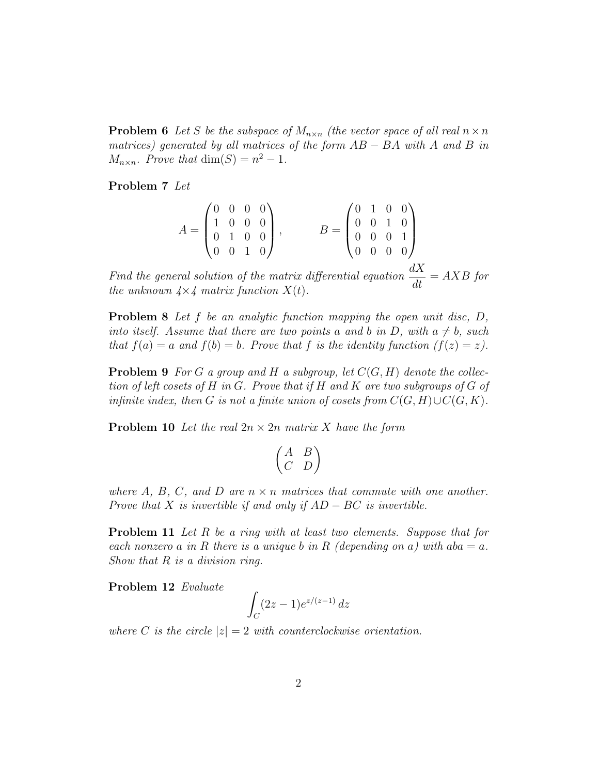**Problem 6** Let S be the subspace of  $M_{n \times n}$  (the vector space of all real  $n \times n$ matrices) generated by all matrices of the form  $AB - BA$  with A and B in  $M_{n \times n}$ . Prove that  $\dim(S) = n^2 - 1$ .

Problem 7 Let

$$
A = \begin{pmatrix} 0 & 0 & 0 & 0 \\ 1 & 0 & 0 & 0 \\ 0 & 1 & 0 & 0 \\ 0 & 0 & 1 & 0 \end{pmatrix}, \qquad B = \begin{pmatrix} 0 & 1 & 0 & 0 \\ 0 & 0 & 1 & 0 \\ 0 & 0 & 0 & 1 \\ 0 & 0 & 0 & 0 \end{pmatrix}
$$

Find the general solution of the matrix differential equation  $\frac{dX}{dt}$  $\frac{dX}{dt} = AXB$  for the unknown  $4 \times 4$  matrix function  $X(t)$ .

Problem 8 Let f be an analytic function mapping the open unit disc, D, into itself. Assume that there are two points a and b in D, with  $a \neq b$ , such that  $f(a) = a$  and  $f(b) = b$ . Prove that f is the identity function  $(f(z) = z)$ .

**Problem 9** For G a group and H a subgroup, let  $C(G, H)$  denote the collection of left cosets of H in G. Prove that if H and K are two subgroups of G of infinite index, then G is not a finite union of cosets from  $C(G, H) \cup C(G, K)$ .

**Problem 10** Let the real  $2n \times 2n$  matrix X have the form

$$
\begin{pmatrix} A & B \\ C & D \end{pmatrix}
$$

where A, B, C, and D are  $n \times n$  matrices that commute with one another. Prove that X is invertible if and only if  $AD - BC$  is invertible.

Problem 11 Let R be a ring with at least two elements. Suppose that for each nonzero a in R there is a unique b in R (depending on a) with  $aba = a$ . Show that  $R$  is a division ring.

Problem 12 Evaluate

$$
\int_C (2z-1)e^{z/(z-1)}\,dz
$$

where C is the circle  $|z| = 2$  with counterclockwise orientation.